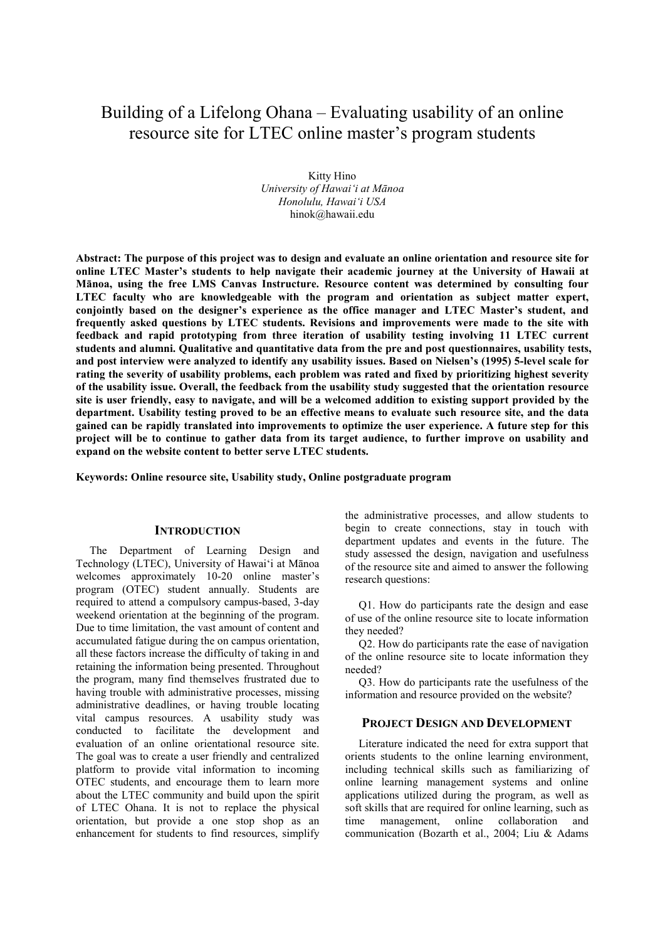# Building of a Lifelong Ohana – Evaluating usability of an online resource site for LTEC online master's program students

Kitty Hino *University of Hawai'i at Mānoa Honolulu, Hawai'i USA*  hinok@hawaii.edu

**Abstract: The purpose of this project was to design and evaluate an online orientation and resource site for online LTEC Master's students to help navigate their academic journey at the University of Hawaii at Mānoa, using the free LMS Canvas Instructure. Resource content was determined by consulting four LTEC faculty who are knowledgeable with the program and orientation as subject matter expert, conjointly based on the designer's experience as the office manager and LTEC Master's student, and frequently asked questions by LTEC students. Revisions and improvements were made to the site with feedback and rapid prototyping from three iteration of usability testing involving 11 LTEC current students and alumni. Qualitative and quantitative data from the pre and post questionnaires, usability tests, and post interview were analyzed to identify any usability issues. Based on Nielsen's (1995) 5-level scale for rating the severity of usability problems, each problem was rated and fixed by prioritizing highest severity of the usability issue. Overall, the feedback from the usability study suggested that the orientation resource site is user friendly, easy to navigate, and will be a welcomed addition to existing support provided by the department. Usability testing proved to be an effective means to evaluate such resource site, and the data gained can be rapidly translated into improvements to optimize the user experience. A future step for this project will be to continue to gather data from its target audience, to further improve on usability and expand on the website content to better serve LTEC students.** 

**Keywords: Online resource site, Usability study, Online postgraduate program** 

#### **INTRODUCTION**

The Department of Learning Design and Technology (LTEC), University of Hawai'i at Mānoa welcomes approximately 10-20 online master's program (OTEC) student annually. Students are required to attend a compulsory campus-based, 3-day weekend orientation at the beginning of the program. Due to time limitation, the vast amount of content and accumulated fatigue during the on campus orientation, all these factors increase the difficulty of taking in and retaining the information being presented. Throughout the program, many find themselves frustrated due to having trouble with administrative processes, missing administrative deadlines, or having trouble locating vital campus resources. A usability study was conducted to facilitate the development and evaluation of an online orientational resource site. The goal was to create a user friendly and centralized platform to provide vital information to incoming OTEC students, and encourage them to learn more about the LTEC community and build upon the spirit of LTEC Ohana. It is not to replace the physical orientation, but provide a one stop shop as an enhancement for students to find resources, simplify

the administrative processes, and allow students to begin to create connections, stay in touch with department updates and events in the future. The study assessed the design, navigation and usefulness of the resource site and aimed to answer the following research questions:

Q1. How do participants rate the design and ease of use of the online resource site to locate information they needed?

Q2. How do participants rate the ease of navigation of the online resource site to locate information they needed?

Q3. How do participants rate the usefulness of the information and resource provided on the website?

# **PROJECT DESIGN AND DEVELOPMENT**

Literature indicated the need for extra support that orients students to the online learning environment, including technical skills such as familiarizing of online learning management systems and online applications utilized during the program, as well as soft skills that are required for online learning, such as time management, online collaboration and communication (Bozarth et al., 2004; Liu & Adams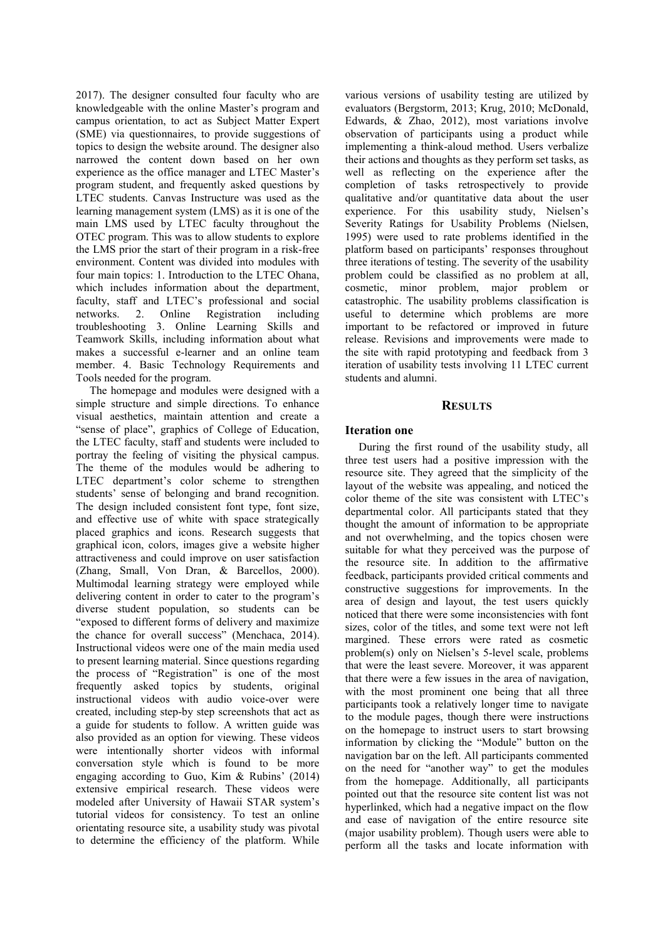2017). The designer consulted four faculty who are knowledgeable with the online Master's program and campus orientation, to act as Subject Matter Expert (SME) via questionnaires, to provide suggestions of topics to design the website around. The designer also narrowed the content down based on her own experience as the office manager and LTEC Master's program student, and frequently asked questions by LTEC students. Canvas Instructure was used as the learning management system (LMS) as it is one of the main LMS used by LTEC faculty throughout the OTEC program. This was to allow students to explore the LMS prior the start of their program in a risk-free environment. Content was divided into modules with four main topics: 1. Introduction to the LTEC Ohana, which includes information about the department, faculty, staff and LTEC's professional and social networks. 2. Online Registration including troubleshooting 3. Online Learning Skills and Teamwork Skills, including information about what makes a successful e-learner and an online team member. 4. Basic Technology Requirements and Tools needed for the program.

The homepage and modules were designed with a simple structure and simple directions. To enhance visual aesthetics, maintain attention and create a "sense of place", graphics of College of Education, the LTEC faculty, staff and students were included to portray the feeling of visiting the physical campus. The theme of the modules would be adhering to LTEC department's color scheme to strengthen students' sense of belonging and brand recognition. The design included consistent font type, font size, and effective use of white with space strategically placed graphics and icons. Research suggests that graphical icon, colors, images give a website higher attractiveness and could improve on user satisfaction (Zhang, Small, Von Dran, & Barcellos, 2000). Multimodal learning strategy were employed while delivering content in order to cater to the program's diverse student population, so students can be "exposed to different forms of delivery and maximize the chance for overall success" (Menchaca, 2014). Instructional videos were one of the main media used to present learning material. Since questions regarding the process of "Registration" is one of the most frequently asked topics by students, original instructional videos with audio voice-over were created, including step-by step screenshots that act as a guide for students to follow. A written guide was also provided as an option for viewing. These videos were intentionally shorter videos with informal conversation style which is found to be more engaging according to Guo, Kim & Rubins' (2014) extensive empirical research. These videos were modeled after University of Hawaii STAR system's tutorial videos for consistency. To test an online orientating resource site, a usability study was pivotal to determine the efficiency of the platform. While

various versions of usability testing are utilized by evaluators (Bergstorm, 2013; Krug, 2010; McDonald, Edwards, & Zhao, 2012), most variations involve observation of participants using a product while implementing a think-aloud method. Users verbalize their actions and thoughts as they perform set tasks, as well as reflecting on the experience after the completion of tasks retrospectively to provide qualitative and/or quantitative data about the user experience. For this usability study, Nielsen's Severity Ratings for Usability Problems (Nielsen, 1995) were used to rate problems identified in the platform based on participants' responses throughout three iterations of testing. The severity of the usability problem could be classified as no problem at all, cosmetic, minor problem, major problem or catastrophic. The usability problems classification is useful to determine which problems are more important to be refactored or improved in future release. Revisions and improvements were made to the site with rapid prototyping and feedback from 3 iteration of usability tests involving 11 LTEC current students and alumni.

#### **RESULTS**

## **Iteration one**

During the first round of the usability study, all three test users had a positive impression with the resource site. They agreed that the simplicity of the layout of the website was appealing, and noticed the color theme of the site was consistent with LTEC's departmental color. All participants stated that they thought the amount of information to be appropriate and not overwhelming, and the topics chosen were suitable for what they perceived was the purpose of the resource site. In addition to the affirmative feedback, participants provided critical comments and constructive suggestions for improvements. In the area of design and layout, the test users quickly noticed that there were some inconsistencies with font sizes, color of the titles, and some text were not left margined. These errors were rated as cosmetic problem(s) only on Nielsen's 5-level scale, problems that were the least severe. Moreover, it was apparent that there were a few issues in the area of navigation, with the most prominent one being that all three participants took a relatively longer time to navigate to the module pages, though there were instructions on the homepage to instruct users to start browsing information by clicking the "Module" button on the navigation bar on the left. All participants commented on the need for "another way" to get the modules from the homepage. Additionally, all participants pointed out that the resource site content list was not hyperlinked, which had a negative impact on the flow and ease of navigation of the entire resource site (major usability problem). Though users were able to perform all the tasks and locate information with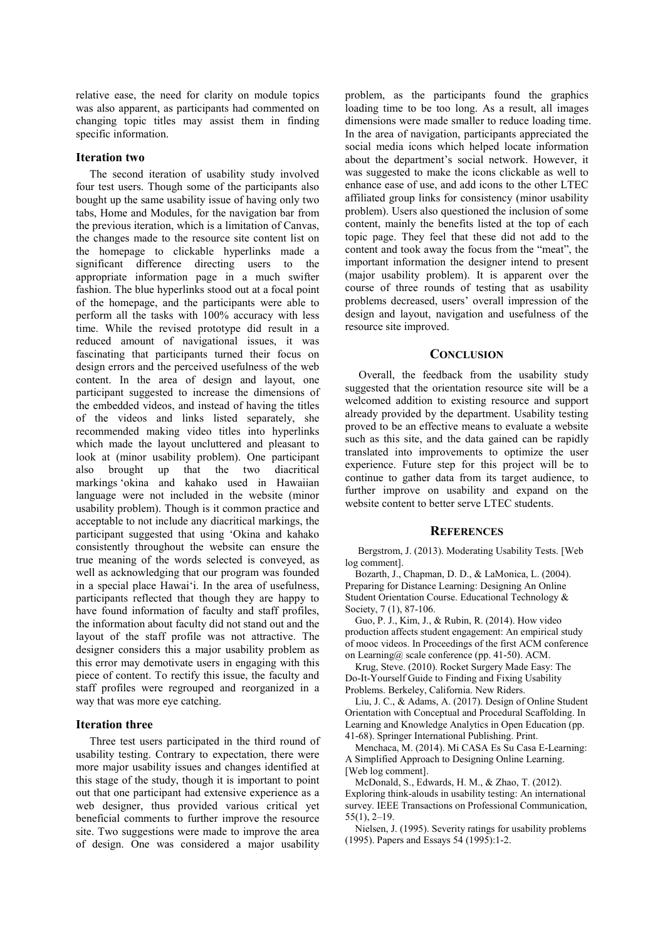relative ease, the need for clarity on module topics was also apparent, as participants had commented on changing topic titles may assist them in finding specific information.

# **Iteration two**

The second iteration of usability study involved four test users. Though some of the participants also bought up the same usability issue of having only two tabs, Home and Modules, for the navigation bar from the previous iteration, which is a limitation of Canvas, the changes made to the resource site content list on the homepage to clickable hyperlinks made a significant difference directing users to the appropriate information page in a much swifter fashion. The blue hyperlinks stood out at a focal point of the homepage, and the participants were able to perform all the tasks with 100% accuracy with less time. While the revised prototype did result in a reduced amount of navigational issues, it was fascinating that participants turned their focus on design errors and the perceived usefulness of the web content. In the area of design and layout, one participant suggested to increase the dimensions of the embedded videos, and instead of having the titles of the videos and links listed separately, she recommended making video titles into hyperlinks which made the layout uncluttered and pleasant to look at (minor usability problem). One participant also brought up that the two diacritical markings 'okina and kahako used in Hawaiian language were not included in the website (minor usability problem). Though is it common practice and acceptable to not include any diacritical markings, the participant suggested that using 'Okina and kahako consistently throughout the website can ensure the true meaning of the words selected is conveyed, as well as acknowledging that our program was founded in a special place Hawai'i. In the area of usefulness, participants reflected that though they are happy to have found information of faculty and staff profiles, the information about faculty did not stand out and the layout of the staff profile was not attractive. The designer considers this a major usability problem as this error may demotivate users in engaging with this piece of content. To rectify this issue, the faculty and staff profiles were regrouped and reorganized in a way that was more eye catching.

#### **Iteration three**

Three test users participated in the third round of usability testing. Contrary to expectation, there were more major usability issues and changes identified at this stage of the study, though it is important to point out that one participant had extensive experience as a web designer, thus provided various critical yet beneficial comments to further improve the resource site. Two suggestions were made to improve the area of design. One was considered a major usability

problem, as the participants found the graphics loading time to be too long. As a result, all images dimensions were made smaller to reduce loading time. In the area of navigation, participants appreciated the social media icons which helped locate information about the department's social network. However, it was suggested to make the icons clickable as well to enhance ease of use, and add icons to the other LTEC affiliated group links for consistency (minor usability problem). Users also questioned the inclusion of some content, mainly the benefits listed at the top of each topic page. They feel that these did not add to the content and took away the focus from the "meat", the important information the designer intend to present (major usability problem). It is apparent over the course of three rounds of testing that as usability problems decreased, users' overall impression of the design and layout, navigation and usefulness of the resource site improved.

#### **CONCLUSION**

Overall, the feedback from the usability study suggested that the orientation resource site will be a welcomed addition to existing resource and support already provided by the department. Usability testing proved to be an effective means to evaluate a website such as this site, and the data gained can be rapidly translated into improvements to optimize the user experience. Future step for this project will be to continue to gather data from its target audience, to further improve on usability and expand on the website content to better serve LTEC students.

#### **REFERENCES**

Bergstrom, J. (2013). Moderating Usability Tests. [Web log comment].

Bozarth, J., Chapman, D. D., & LaMonica, L. (2004). Preparing for Distance Learning: Designing An Online Student Orientation Course. Educational Technology & Society, 7 (1), 87-106.

Guo, P. J., Kim, J., & Rubin, R. (2014). How video production affects student engagement: An empirical study of mooc videos. In Proceedings of the first ACM conference on Learning@ scale conference (pp. 41-50). ACM.

Krug, Steve. (2010). Rocket Surgery Made Easy: The Do-It-Yourself Guide to Finding and Fixing Usability Problems. Berkeley, California. New Riders.

Liu, J. C., & Adams, A. (2017). Design of Online Student Orientation with Conceptual and Procedural Scaffolding. In Learning and Knowledge Analytics in Open Education (pp. 41-68). Springer International Publishing. Print.

Menchaca, M. (2014). Mi CASA Es Su Casa E-Learning: A Simplified Approach to Designing Online Learning. [Web log comment].

McDonald, S., Edwards, H. M., & Zhao, T. (2012). Exploring think-alouds in usability testing: An international survey. IEEE Transactions on Professional Communication, 55(1), 2–19.

Nielsen, J. (1995). Severity ratings for usability problems (1995). Papers and Essays 54 (1995):1-2.